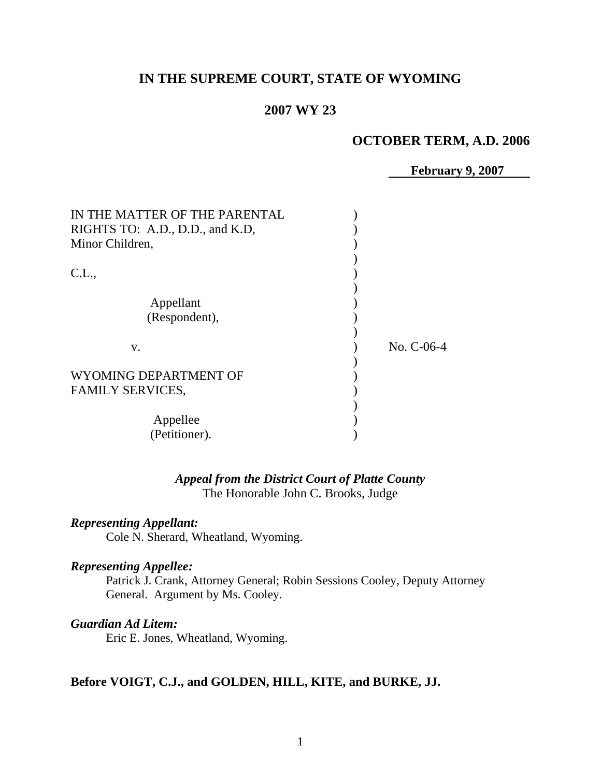# **IN THE SUPREME COURT, STATE OF WYOMING**

## **2007 WY 23**

## **OCTOBER TERM, A.D. 2006**

 **February 9, 2007**

| IN THE MATTER OF THE PARENTAL   |              |
|---------------------------------|--------------|
| RIGHTS TO: A.D., D.D., and K.D. |              |
| Minor Children,                 |              |
| CL.,                            |              |
| Appellant                       |              |
| (Respondent),                   |              |
| V.                              | No. $C-06-4$ |
| WYOMING DEPARTMENT OF           |              |
| <b>FAMILY SERVICES,</b>         |              |
| Appellee                        |              |
| (Petitioner).                   |              |

*Appeal from the District Court of Platte County* The Honorable John C. Brooks, Judge

## *Representing Appellant:*

Cole N. Sherard, Wheatland, Wyoming.

## *Representing Appellee:*

Patrick J. Crank, Attorney General; Robin Sessions Cooley, Deputy Attorney General. Argument by Ms. Cooley.

### *Guardian Ad Litem:*

Eric E. Jones, Wheatland, Wyoming.

### **Before VOIGT, C.J., and GOLDEN, HILL, KITE, and BURKE, JJ.**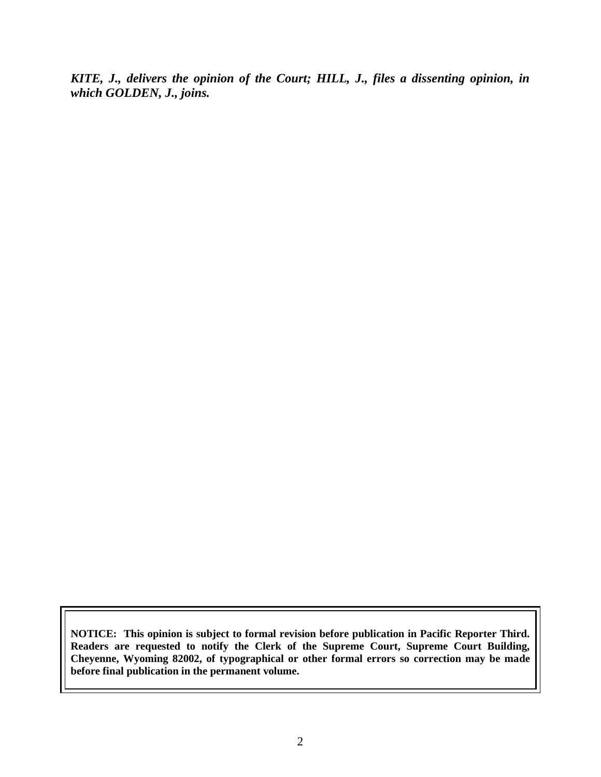*KITE, J., delivers the opinion of the Court; HILL, J., files a dissenting opinion, in which GOLDEN, J., joins.*

**NOTICE: This opinion is subject to formal revision before publication in Pacific Reporter Third. Readers are requested to notify the Clerk of the Supreme Court, Supreme Court Building, Cheyenne, Wyoming 82002, of typographical or other formal errors so correction may be made before final publication in the permanent volume.**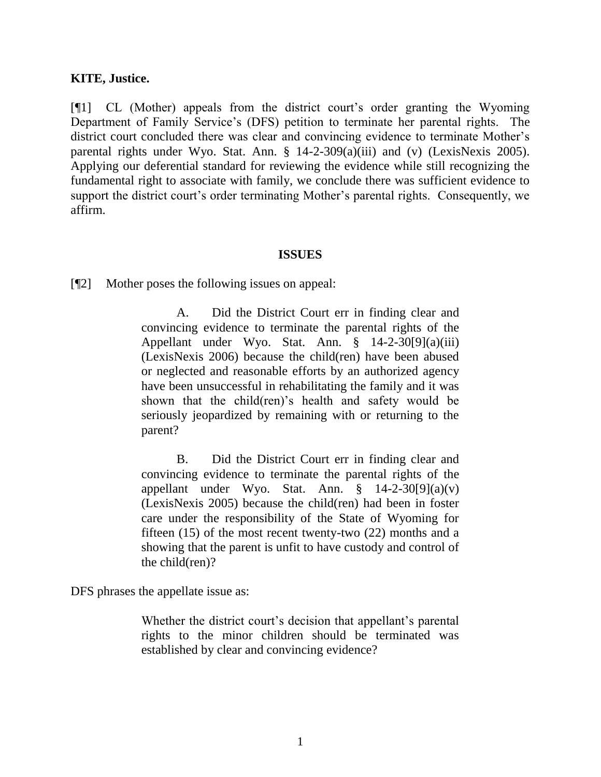### **KITE, Justice.**

[¶1] CL (Mother) appeals from the district court"s order granting the Wyoming Department of Family Service's (DFS) petition to terminate her parental rights. The district court concluded there was clear and convincing evidence to terminate Mother's parental rights under Wyo. Stat. Ann. § 14-2-309(a)(iii) and (v) (LexisNexis 2005). Applying our deferential standard for reviewing the evidence while still recognizing the fundamental right to associate with family, we conclude there was sufficient evidence to support the district court's order terminating Mother's parental rights. Consequently, we affirm.

#### **ISSUES**

[¶2] Mother poses the following issues on appeal:

A. Did the District Court err in finding clear and convincing evidence to terminate the parental rights of the Appellant under Wyo. Stat. Ann. § 14-2-30[9](a)(iii) (LexisNexis 2006) because the child(ren) have been abused or neglected and reasonable efforts by an authorized agency have been unsuccessful in rehabilitating the family and it was shown that the child(ren)'s health and safety would be seriously jeopardized by remaining with or returning to the parent?

B. Did the District Court err in finding clear and convincing evidence to terminate the parental rights of the appellant under Wyo. Stat. Ann.  $\frac{8}{9}$  14-2-30[9](a)(v) (LexisNexis 2005) because the child(ren) had been in foster care under the responsibility of the State of Wyoming for fifteen (15) of the most recent twenty-two (22) months and a showing that the parent is unfit to have custody and control of the child(ren)?

DFS phrases the appellate issue as:

Whether the district court's decision that appellant's parental rights to the minor children should be terminated was established by clear and convincing evidence?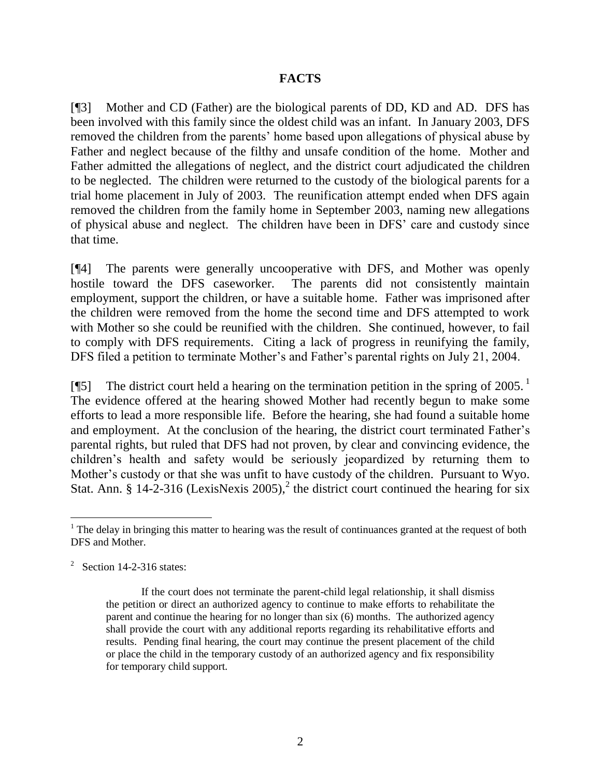## **FACTS**

[¶3] Mother and CD (Father) are the biological parents of DD, KD and AD. DFS has been involved with this family since the oldest child was an infant. In January 2003, DFS removed the children from the parents' home based upon allegations of physical abuse by Father and neglect because of the filthy and unsafe condition of the home. Mother and Father admitted the allegations of neglect, and the district court adjudicated the children to be neglected. The children were returned to the custody of the biological parents for a trial home placement in July of 2003. The reunification attempt ended when DFS again removed the children from the family home in September 2003, naming new allegations of physical abuse and neglect. The children have been in DFS" care and custody since that time.

[¶4] The parents were generally uncooperative with DFS, and Mother was openly hostile toward the DFS caseworker. The parents did not consistently maintain employment, support the children, or have a suitable home. Father was imprisoned after the children were removed from the home the second time and DFS attempted to work with Mother so she could be reunified with the children. She continued, however, to fail to comply with DFS requirements. Citing a lack of progress in reunifying the family, DFS filed a petition to terminate Mother's and Father's parental rights on July 21, 2004.

[ $\llbracket 5$ ] The district court held a hearing on the termination petition in the spring of 2005.<sup>1</sup> The evidence offered at the hearing showed Mother had recently begun to make some efforts to lead a more responsible life. Before the hearing, she had found a suitable home and employment. At the conclusion of the hearing, the district court terminated Father"s parental rights, but ruled that DFS had not proven, by clear and convincing evidence, the children"s health and safety would be seriously jeopardized by returning them to Mother"s custody or that she was unfit to have custody of the children. Pursuant to Wyo. Stat. Ann. § 14-2-316 (LexisNexis 2005),<sup>2</sup> the district court continued the hearing for six

 $<sup>1</sup>$  The delay in bringing this matter to hearing was the result of continuances granted at the request of both</sup> DFS and Mother.

 $2^2$  Section 14-2-316 states:

If the court does not terminate the parent-child legal relationship, it shall dismiss the petition or direct an authorized agency to continue to make efforts to rehabilitate the parent and continue the hearing for no longer than six (6) months. The authorized agency shall provide the court with any additional reports regarding its rehabilitative efforts and results. Pending final hearing, the court may continue the present placement of the child or place the child in the temporary custody of an authorized agency and fix responsibility for temporary child support.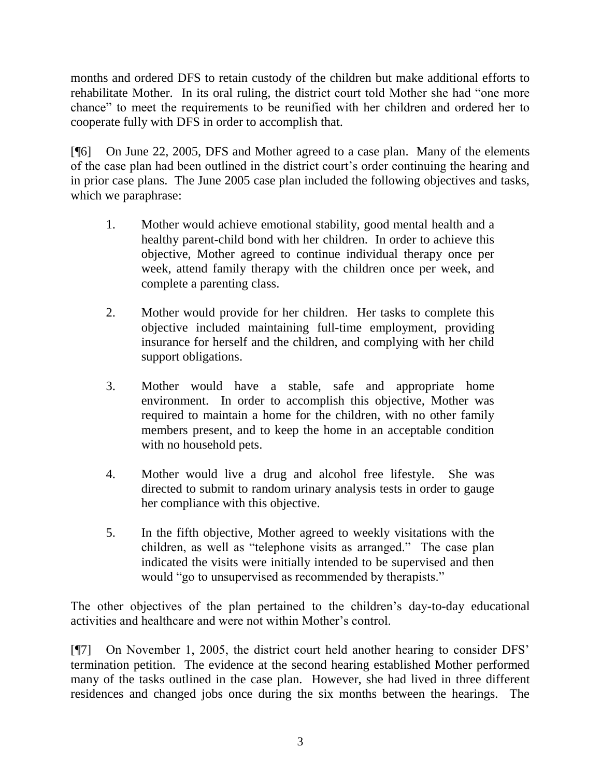months and ordered DFS to retain custody of the children but make additional efforts to rehabilitate Mother. In its oral ruling, the district court told Mother she had "one more chance" to meet the requirements to be reunified with her children and ordered her to cooperate fully with DFS in order to accomplish that.

[¶6] On June 22, 2005, DFS and Mother agreed to a case plan. Many of the elements of the case plan had been outlined in the district court"s order continuing the hearing and in prior case plans. The June 2005 case plan included the following objectives and tasks, which we paraphrase:

- 1. Mother would achieve emotional stability, good mental health and a healthy parent-child bond with her children. In order to achieve this objective, Mother agreed to continue individual therapy once per week, attend family therapy with the children once per week, and complete a parenting class.
- 2. Mother would provide for her children. Her tasks to complete this objective included maintaining full-time employment, providing insurance for herself and the children, and complying with her child support obligations.
- 3. Mother would have a stable, safe and appropriate home environment. In order to accomplish this objective, Mother was required to maintain a home for the children, with no other family members present, and to keep the home in an acceptable condition with no household pets.
- 4. Mother would live a drug and alcohol free lifestyle. She was directed to submit to random urinary analysis tests in order to gauge her compliance with this objective.
- 5. In the fifth objective, Mother agreed to weekly visitations with the children, as well as "telephone visits as arranged." The case plan indicated the visits were initially intended to be supervised and then would "go to unsupervised as recommended by therapists."

The other objectives of the plan pertained to the children's day-to-day educational activities and healthcare and were not within Mother"s control.

[¶7] On November 1, 2005, the district court held another hearing to consider DFS" termination petition. The evidence at the second hearing established Mother performed many of the tasks outlined in the case plan. However, she had lived in three different residences and changed jobs once during the six months between the hearings. The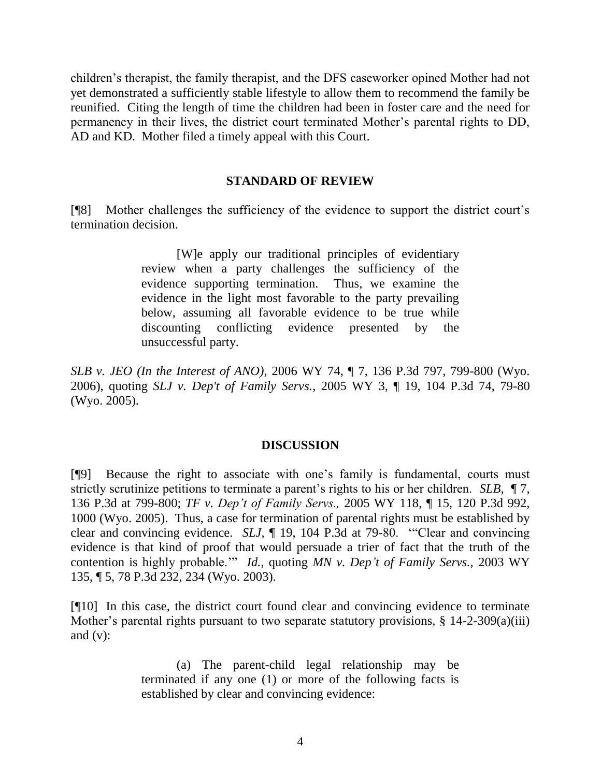children"s therapist, the family therapist, and the DFS caseworker opined Mother had not yet demonstrated a sufficiently stable lifestyle to allow them to recommend the family be reunified. Citing the length of time the children had been in foster care and the need for permanency in their lives, the district court terminated Mother"s parental rights to DD, AD and KD. Mother filed a timely appeal with this Court.

### **STANDARD OF REVIEW**

[¶8] Mother challenges the sufficiency of the evidence to support the district court"s termination decision.

> [W]e apply our traditional principles of evidentiary review when a party challenges the sufficiency of the evidence supporting termination. Thus, we examine the evidence in the light most favorable to the party prevailing below, assuming all favorable evidence to be true while discounting conflicting evidence presented by the unsuccessful party.

*SLB v. JEO (In the Interest of ANO),* 2006 WY 74, ¶ 7, 136 P.3d 797, 799-800 (Wyo. 2006), quoting *SLJ v. Dep't of Family Servs.*, 2005 WY 3, ¶ 19, 104 P.3d 74, 79-80 (Wyo. 2005).

#### **DISCUSSION**

[¶9] Because the right to associate with one"s family is fundamental, courts must strictly scrutinize petitions to terminate a parent's rights to his or her children. *SLB*, ¶ 7, 136 P.3d at 799-800; *TF v. Dep't of Family Servs.,* 2005 WY 118, ¶ 15, 120 P.3d 992, 1000 (Wyo. 2005). Thus, a case for termination of parental rights must be established by clear and convincing evidence. *SLJ,* ¶ 19, 104 P.3d at 79-80. ""Clear and convincing evidence is that kind of proof that would persuade a trier of fact that the truth of the contention is highly probable."" *Id.*, quoting *MN v. Dep't of Family Servs.,* 2003 WY 135, ¶ 5, 78 P.3d 232, 234 (Wyo. 2003).

[¶10] In this case, the district court found clear and convincing evidence to terminate Mother's parental rights pursuant to two separate statutory provisions, § 14-2-309(a)(iii) and  $(v)$ :

> (a) The parent-child legal relationship may be terminated if any one (1) or more of the following facts is established by clear and convincing evidence: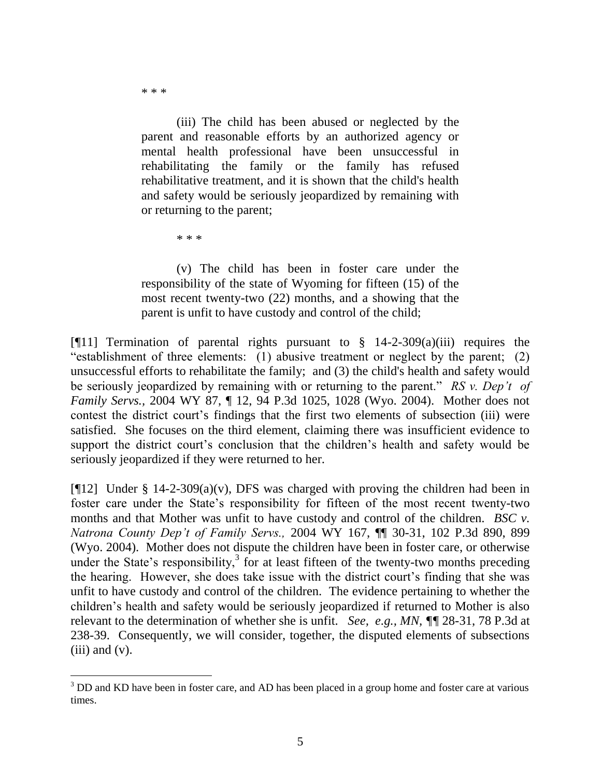\* \* \*

l

(iii) The child has been abused or neglected by the parent and reasonable efforts by an authorized agency or mental health professional have been unsuccessful in rehabilitating the family or the family has refused rehabilitative treatment, and it is shown that the child's health and safety would be seriously jeopardized by remaining with or returning to the parent;

\* \* \*

(v) The child has been in foster care under the responsibility of the state of Wyoming for fifteen (15) of the most recent twenty-two (22) months, and a showing that the parent is unfit to have custody and control of the child;

[ $[$ [11] Termination of parental rights pursuant to  $\S$  14-2-309(a)(iii) requires the "establishment of three elements: (1) abusive treatment or neglect by the parent; (2) unsuccessful efforts to rehabilitate the family; and (3) the child's health and safety would be seriously jeopardized by remaining with or returning to the parent." *RS v. Dep't of Family Servs.,* 2004 WY 87, ¶ 12, 94 P.3d 1025, 1028 (Wyo. 2004). Mother does not contest the district court's findings that the first two elements of subsection (iii) were satisfied. She focuses on the third element, claiming there was insufficient evidence to support the district court's conclusion that the children's health and safety would be seriously jeopardized if they were returned to her.

[¶12] Under § 14-2-309(a)(v), DFS was charged with proving the children had been in foster care under the State"s responsibility for fifteen of the most recent twenty-two months and that Mother was unfit to have custody and control of the children. *BSC v. Natrona County Dep't of Family Servs.,* 2004 WY 167, ¶¶ 30-31, 102 P.3d 890, 899 (Wyo. 2004). Mother does not dispute the children have been in foster care, or otherwise under the State's responsibility, $3 \text{ for at least fifteen of the twenty-two months preceding}$ the hearing. However, she does take issue with the district court's finding that she was unfit to have custody and control of the children. The evidence pertaining to whether the children"s health and safety would be seriously jeopardized if returned to Mother is also relevant to the determination of whether she is unfit. *See, e.g., MN, ¶¶* 28-31, 78 P.3d at 238-39. Consequently, we will consider, together, the disputed elements of subsections  $(iii)$  and  $(v)$ .

<sup>&</sup>lt;sup>3</sup> DD and KD have been in foster care, and AD has been placed in a group home and foster care at various times.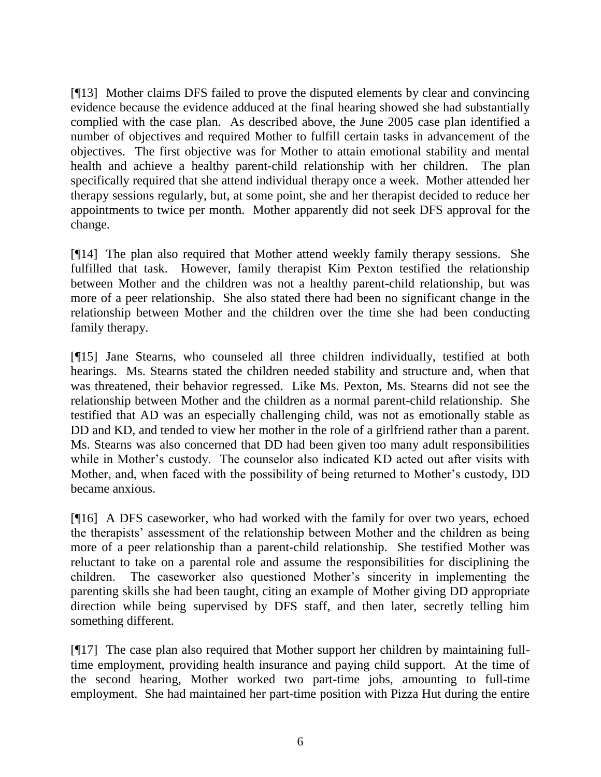[¶13] Mother claims DFS failed to prove the disputed elements by clear and convincing evidence because the evidence adduced at the final hearing showed she had substantially complied with the case plan. As described above, the June 2005 case plan identified a number of objectives and required Mother to fulfill certain tasks in advancement of the objectives. The first objective was for Mother to attain emotional stability and mental health and achieve a healthy parent-child relationship with her children. The plan specifically required that she attend individual therapy once a week. Mother attended her therapy sessions regularly, but, at some point, she and her therapist decided to reduce her appointments to twice per month. Mother apparently did not seek DFS approval for the change.

[¶14] The plan also required that Mother attend weekly family therapy sessions. She fulfilled that task. However, family therapist Kim Pexton testified the relationship between Mother and the children was not a healthy parent-child relationship, but was more of a peer relationship. She also stated there had been no significant change in the relationship between Mother and the children over the time she had been conducting family therapy.

[¶15] Jane Stearns, who counseled all three children individually, testified at both hearings. Ms. Stearns stated the children needed stability and structure and, when that was threatened, their behavior regressed. Like Ms. Pexton, Ms. Stearns did not see the relationship between Mother and the children as a normal parent-child relationship. She testified that AD was an especially challenging child, was not as emotionally stable as DD and KD, and tended to view her mother in the role of a girlfriend rather than a parent. Ms. Stearns was also concerned that DD had been given too many adult responsibilities while in Mother's custody. The counselor also indicated KD acted out after visits with Mother, and, when faced with the possibility of being returned to Mother"s custody, DD became anxious.

[¶16] A DFS caseworker, who had worked with the family for over two years, echoed the therapists" assessment of the relationship between Mother and the children as being more of a peer relationship than a parent-child relationship. She testified Mother was reluctant to take on a parental role and assume the responsibilities for disciplining the children. The caseworker also questioned Mother"s sincerity in implementing the parenting skills she had been taught, citing an example of Mother giving DD appropriate direction while being supervised by DFS staff, and then later, secretly telling him something different.

[¶17] The case plan also required that Mother support her children by maintaining fulltime employment, providing health insurance and paying child support. At the time of the second hearing, Mother worked two part-time jobs, amounting to full-time employment. She had maintained her part-time position with Pizza Hut during the entire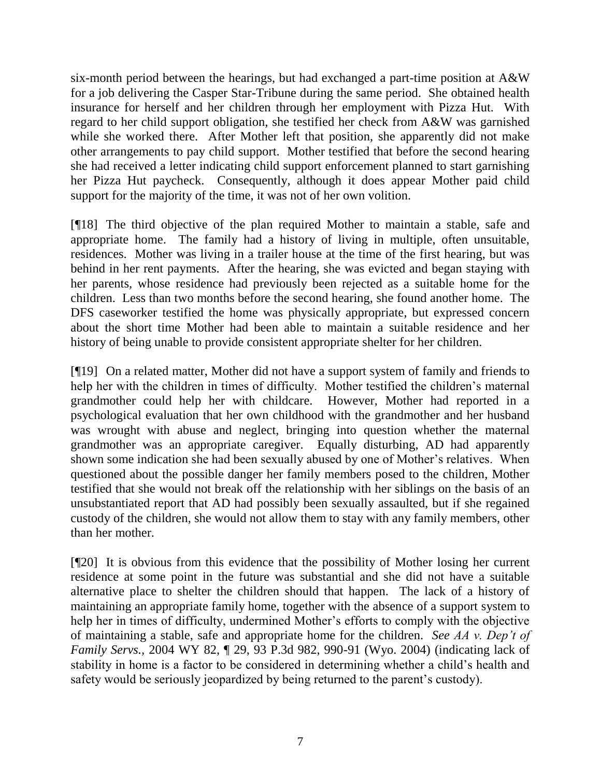six-month period between the hearings, but had exchanged a part-time position at A&W for a job delivering the Casper Star-Tribune during the same period. She obtained health insurance for herself and her children through her employment with Pizza Hut. With regard to her child support obligation, she testified her check from A&W was garnished while she worked there. After Mother left that position, she apparently did not make other arrangements to pay child support. Mother testified that before the second hearing she had received a letter indicating child support enforcement planned to start garnishing her Pizza Hut paycheck. Consequently, although it does appear Mother paid child support for the majority of the time, it was not of her own volition.

[¶18] The third objective of the plan required Mother to maintain a stable, safe and appropriate home. The family had a history of living in multiple, often unsuitable, residences. Mother was living in a trailer house at the time of the first hearing, but was behind in her rent payments. After the hearing, she was evicted and began staying with her parents, whose residence had previously been rejected as a suitable home for the children. Less than two months before the second hearing, she found another home. The DFS caseworker testified the home was physically appropriate, but expressed concern about the short time Mother had been able to maintain a suitable residence and her history of being unable to provide consistent appropriate shelter for her children.

[¶19] On a related matter, Mother did not have a support system of family and friends to help her with the children in times of difficulty. Mother testified the children"s maternal grandmother could help her with childcare. However, Mother had reported in a psychological evaluation that her own childhood with the grandmother and her husband was wrought with abuse and neglect, bringing into question whether the maternal grandmother was an appropriate caregiver. Equally disturbing, AD had apparently shown some indication she had been sexually abused by one of Mother"s relatives. When questioned about the possible danger her family members posed to the children, Mother testified that she would not break off the relationship with her siblings on the basis of an unsubstantiated report that AD had possibly been sexually assaulted, but if she regained custody of the children, she would not allow them to stay with any family members, other than her mother.

[¶20] It is obvious from this evidence that the possibility of Mother losing her current residence at some point in the future was substantial and she did not have a suitable alternative place to shelter the children should that happen. The lack of a history of maintaining an appropriate family home, together with the absence of a support system to help her in times of difficulty, undermined Mother"s efforts to comply with the objective of maintaining a stable, safe and appropriate home for the children. *See AA v. Dep't of Family Servs.,* 2004 WY 82, ¶ 29, 93 P.3d 982, 990-91 (Wyo. 2004) (indicating lack of stability in home is a factor to be considered in determining whether a child"s health and safety would be seriously jeopardized by being returned to the parent"s custody).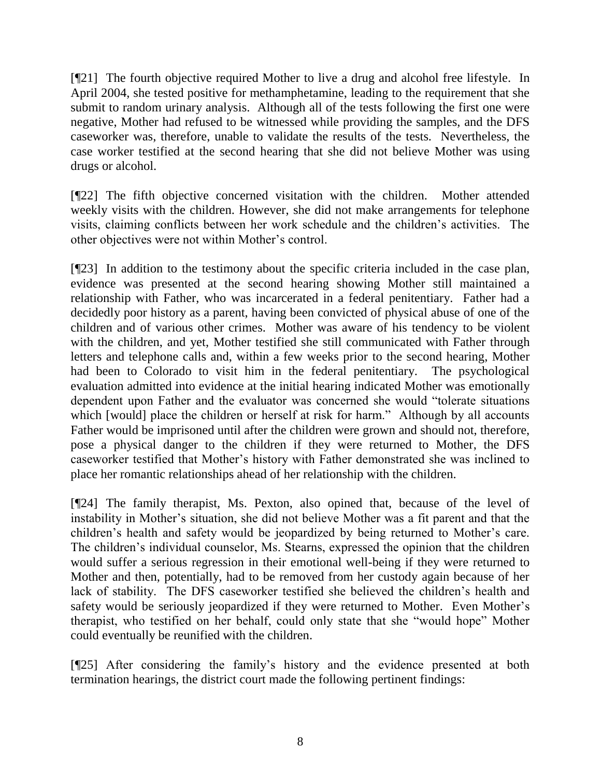[¶21] The fourth objective required Mother to live a drug and alcohol free lifestyle. In April 2004, she tested positive for methamphetamine, leading to the requirement that she submit to random urinary analysis. Although all of the tests following the first one were negative, Mother had refused to be witnessed while providing the samples, and the DFS caseworker was, therefore, unable to validate the results of the tests. Nevertheless, the case worker testified at the second hearing that she did not believe Mother was using drugs or alcohol.

[¶22] The fifth objective concerned visitation with the children. Mother attended weekly visits with the children. However, she did not make arrangements for telephone visits, claiming conflicts between her work schedule and the children"s activities. The other objectives were not within Mother"s control.

[¶23] In addition to the testimony about the specific criteria included in the case plan, evidence was presented at the second hearing showing Mother still maintained a relationship with Father, who was incarcerated in a federal penitentiary. Father had a decidedly poor history as a parent, having been convicted of physical abuse of one of the children and of various other crimes. Mother was aware of his tendency to be violent with the children, and yet, Mother testified she still communicated with Father through letters and telephone calls and, within a few weeks prior to the second hearing, Mother had been to Colorado to visit him in the federal penitentiary. The psychological evaluation admitted into evidence at the initial hearing indicated Mother was emotionally dependent upon Father and the evaluator was concerned she would "tolerate situations which [would] place the children or herself at risk for harm." Although by all accounts Father would be imprisoned until after the children were grown and should not, therefore, pose a physical danger to the children if they were returned to Mother, the DFS caseworker testified that Mother"s history with Father demonstrated she was inclined to place her romantic relationships ahead of her relationship with the children.

[¶24] The family therapist, Ms. Pexton, also opined that, because of the level of instability in Mother"s situation, she did not believe Mother was a fit parent and that the children"s health and safety would be jeopardized by being returned to Mother"s care. The children"s individual counselor, Ms. Stearns, expressed the opinion that the children would suffer a serious regression in their emotional well-being if they were returned to Mother and then, potentially, had to be removed from her custody again because of her lack of stability. The DFS caseworker testified she believed the children"s health and safety would be seriously jeopardized if they were returned to Mother. Even Mother"s therapist, who testified on her behalf, could only state that she "would hope" Mother could eventually be reunified with the children.

[¶25] After considering the family"s history and the evidence presented at both termination hearings, the district court made the following pertinent findings: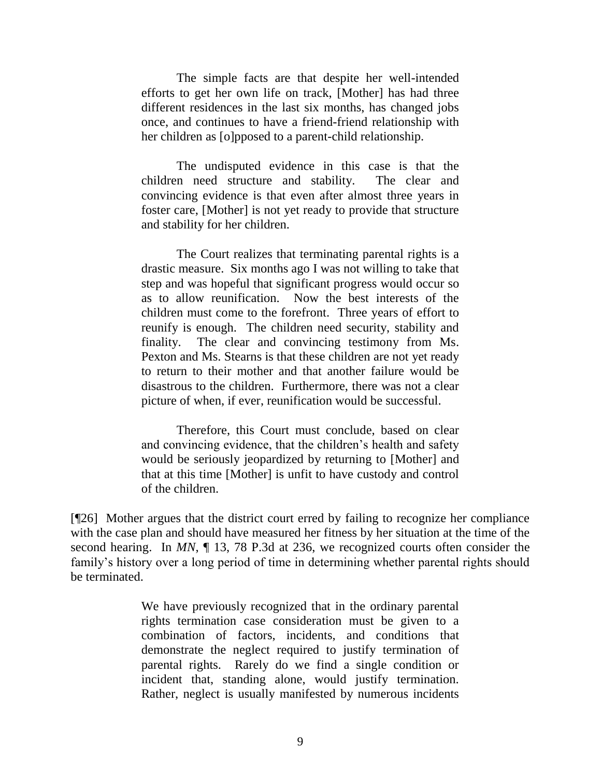The simple facts are that despite her well-intended efforts to get her own life on track, [Mother] has had three different residences in the last six months, has changed jobs once, and continues to have a friend-friend relationship with her children as [o]pposed to a parent-child relationship.

The undisputed evidence in this case is that the children need structure and stability. The clear and convincing evidence is that even after almost three years in foster care, [Mother] is not yet ready to provide that structure and stability for her children.

The Court realizes that terminating parental rights is a drastic measure. Six months ago I was not willing to take that step and was hopeful that significant progress would occur so as to allow reunification. Now the best interests of the children must come to the forefront. Three years of effort to reunify is enough. The children need security, stability and finality. The clear and convincing testimony from Ms. Pexton and Ms. Stearns is that these children are not yet ready to return to their mother and that another failure would be disastrous to the children. Furthermore, there was not a clear picture of when, if ever, reunification would be successful.

Therefore, this Court must conclude, based on clear and convincing evidence, that the children"s health and safety would be seriously jeopardized by returning to [Mother] and that at this time [Mother] is unfit to have custody and control of the children.

[¶26] Mother argues that the district court erred by failing to recognize her compliance with the case plan and should have measured her fitness by her situation at the time of the second hearing. In *MN*, ¶ 13, 78 P.3d at 236, we recognized courts often consider the family's history over a long period of time in determining whether parental rights should be terminated.

> We have previously recognized that in the ordinary parental rights termination case consideration must be given to a combination of factors, incidents, and conditions that demonstrate the neglect required to justify termination of parental rights. Rarely do we find a single condition or incident that, standing alone, would justify termination. Rather, neglect is usually manifested by numerous incidents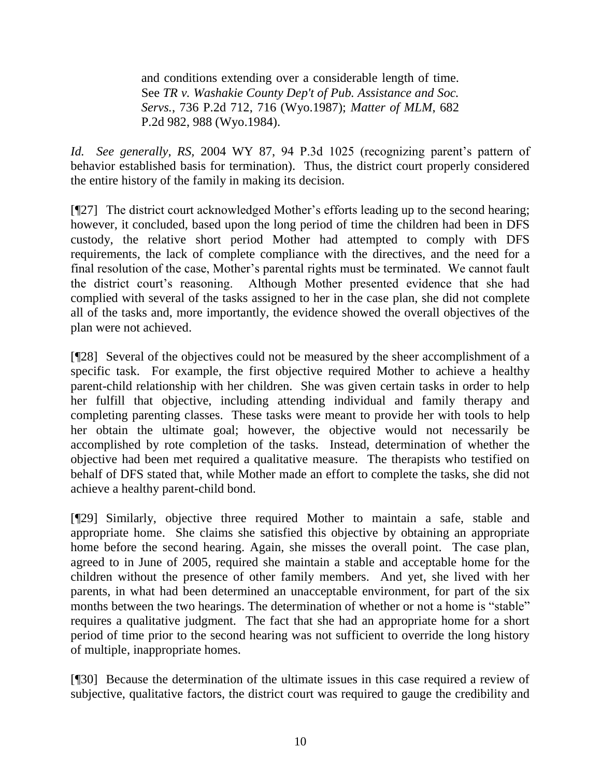and conditions extending over a considerable length of time. See *TR v. Washakie County Dep't of Pub. Assistance and Soc. Servs.*, 736 P.2d 712, 716 (Wyo.1987); *Matter of MLM*, 682 P.2d 982, 988 (Wyo.1984).

*Id.* See generally, RS, 2004 WY 87, 94 P.3d 1025 (recognizing parent's pattern of behavior established basis for termination). Thus, the district court properly considered the entire history of the family in making its decision.

[¶27] The district court acknowledged Mother"s efforts leading up to the second hearing; however, it concluded, based upon the long period of time the children had been in DFS custody, the relative short period Mother had attempted to comply with DFS requirements, the lack of complete compliance with the directives, and the need for a final resolution of the case, Mother's parental rights must be terminated. We cannot fault the district court"s reasoning. Although Mother presented evidence that she had complied with several of the tasks assigned to her in the case plan, she did not complete all of the tasks and, more importantly, the evidence showed the overall objectives of the plan were not achieved.

[¶28] Several of the objectives could not be measured by the sheer accomplishment of a specific task. For example, the first objective required Mother to achieve a healthy parent-child relationship with her children. She was given certain tasks in order to help her fulfill that objective, including attending individual and family therapy and completing parenting classes. These tasks were meant to provide her with tools to help her obtain the ultimate goal; however, the objective would not necessarily be accomplished by rote completion of the tasks. Instead, determination of whether the objective had been met required a qualitative measure. The therapists who testified on behalf of DFS stated that, while Mother made an effort to complete the tasks, she did not achieve a healthy parent-child bond.

[¶29] Similarly, objective three required Mother to maintain a safe, stable and appropriate home. She claims she satisfied this objective by obtaining an appropriate home before the second hearing. Again, she misses the overall point. The case plan, agreed to in June of 2005, required she maintain a stable and acceptable home for the children without the presence of other family members. And yet, she lived with her parents, in what had been determined an unacceptable environment, for part of the six months between the two hearings. The determination of whether or not a home is "stable" requires a qualitative judgment. The fact that she had an appropriate home for a short period of time prior to the second hearing was not sufficient to override the long history of multiple, inappropriate homes.

[¶30] Because the determination of the ultimate issues in this case required a review of subjective, qualitative factors, the district court was required to gauge the credibility and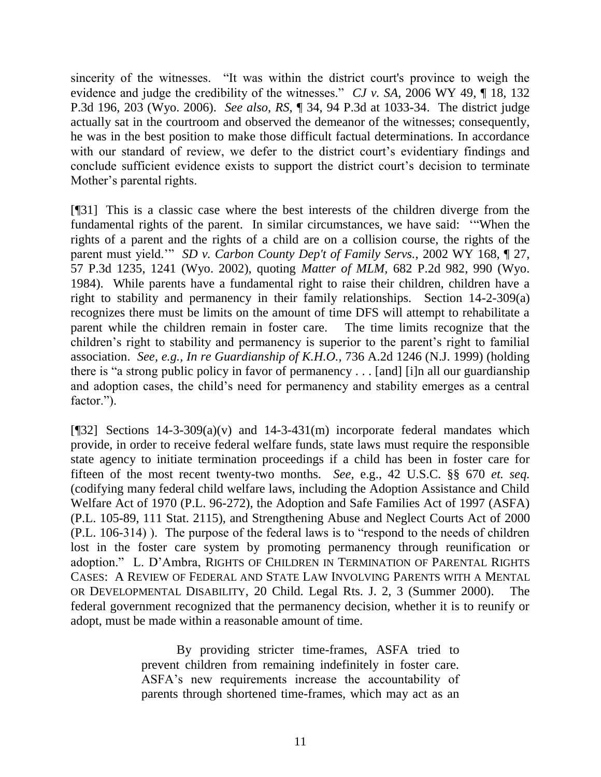sincerity of the witnesses. "It was within the district court's province to weigh the evidence and judge the credibility of the witnesses." *CJ v. SA,* 2006 WY 49, ¶ 18, 132 P.3d 196, 203 (Wyo. 2006). *See also*, *RS*, ¶ 34, 94 P.3d at 1033-34. The district judge actually sat in the courtroom and observed the demeanor of the witnesses; consequently, he was in the best position to make those difficult factual determinations. In accordance with our standard of review, we defer to the district court's evidentiary findings and conclude sufficient evidence exists to support the district court's decision to terminate Mother's parental rights.

[¶31] This is a classic case where the best interests of the children diverge from the fundamental rights of the parent. In similar circumstances, we have said: ""When the rights of a parent and the rights of a child are on a collision course, the rights of the parent must yield."" *SD v. Carbon County Dep't of Family Servs.*, 2002 WY 168, ¶ 27, 57 P.3d 1235, 1241 (Wyo. 2002), quoting *Matter of MLM,* 682 P.2d 982, 990 (Wyo. 1984). While parents have a fundamental right to raise their children, children have a right to stability and permanency in their family relationships. Section 14-2-309(a) recognizes there must be limits on the amount of time DFS will attempt to rehabilitate a parent while the children remain in foster care. The time limits recognize that the children's right to stability and permanency is superior to the parent's right to familial association. *See, e.g., In re Guardianship of K.H.O.,* 736 A.2d 1246 (N.J. 1999) (holding there is "a strong public policy in favor of permanency . . . [and] [i]n all our guardianship and adoption cases, the child"s need for permanency and stability emerges as a central factor.").

[ $[$ [32] Sections 14-3-309(a)(v) and 14-3-431(m) incorporate federal mandates which provide, in order to receive federal welfare funds, state laws must require the responsible state agency to initiate termination proceedings if a child has been in foster care for fifteen of the most recent twenty-two months. *See,* e.g., 42 U.S.C. §§ 670 *et. seq.*  (codifying many federal child welfare laws, including the Adoption Assistance and Child Welfare Act of 1970 (P.L. 96-272), the Adoption and Safe Families Act of 1997 (ASFA) (P.L. 105-89, 111 Stat. 2115), and Strengthening Abuse and Neglect Courts Act of 2000 (P.L. 106-314) ). The purpose of the federal laws is to "respond to the needs of children lost in the foster care system by promoting permanency through reunification or adoption." L. D"Ambra, RIGHTS OF CHILDREN IN TERMINATION OF PARENTAL RIGHTS CASES: A REVIEW OF FEDERAL AND STATE LAW INVOLVING PARENTS WITH A MENTAL OR DEVELOPMENTAL DISABILITY, 20 Child. Legal Rts. J. 2, 3 (Summer 2000). The federal government recognized that the permanency decision, whether it is to reunify or adopt, must be made within a reasonable amount of time.

> By providing stricter time-frames, ASFA tried to prevent children from remaining indefinitely in foster care. ASFA"s new requirements increase the accountability of parents through shortened time-frames, which may act as an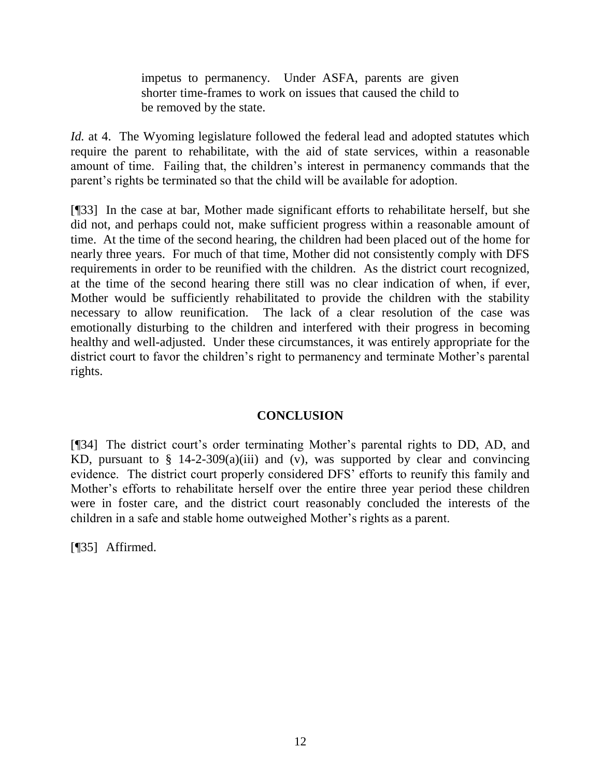impetus to permanency. Under ASFA, parents are given shorter time-frames to work on issues that caused the child to be removed by the state.

*Id.* at 4. The Wyoming legislature followed the federal lead and adopted statutes which require the parent to rehabilitate, with the aid of state services, within a reasonable amount of time. Failing that, the children"s interest in permanency commands that the parent"s rights be terminated so that the child will be available for adoption.

[¶33] In the case at bar, Mother made significant efforts to rehabilitate herself, but she did not, and perhaps could not, make sufficient progress within a reasonable amount of time. At the time of the second hearing, the children had been placed out of the home for nearly three years. For much of that time, Mother did not consistently comply with DFS requirements in order to be reunified with the children. As the district court recognized, at the time of the second hearing there still was no clear indication of when, if ever, Mother would be sufficiently rehabilitated to provide the children with the stability necessary to allow reunification. The lack of a clear resolution of the case was emotionally disturbing to the children and interfered with their progress in becoming healthy and well-adjusted. Under these circumstances, it was entirely appropriate for the district court to favor the children's right to permanency and terminate Mother's parental rights.

# **CONCLUSION**

[¶34] The district court's order terminating Mother's parental rights to DD, AD, and KD, pursuant to  $\S$  14-2-309(a)(iii) and (v), was supported by clear and convincing evidence. The district court properly considered DFS' efforts to reunify this family and Mother's efforts to rehabilitate herself over the entire three year period these children were in foster care, and the district court reasonably concluded the interests of the children in a safe and stable home outweighed Mother"s rights as a parent.

[¶35] Affirmed.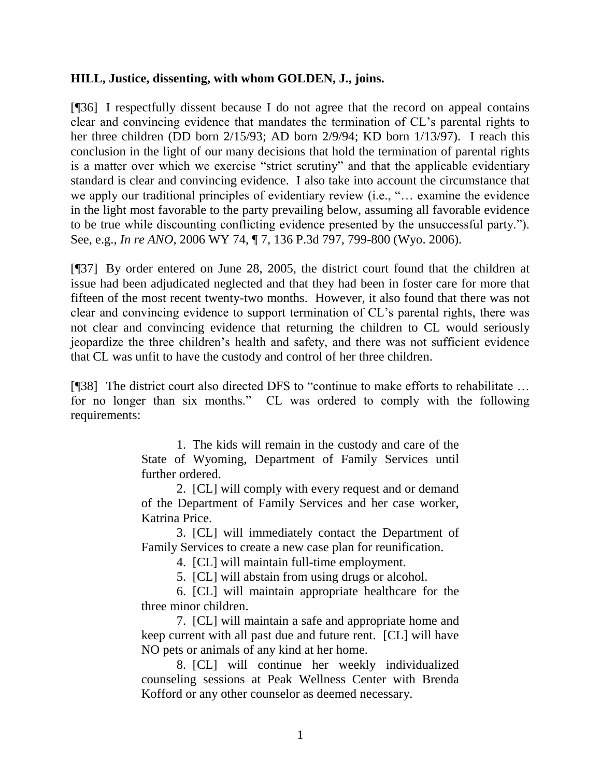## **HILL, Justice, dissenting, with whom GOLDEN, J., joins.**

[¶36] I respectfully dissent because I do not agree that the record on appeal contains clear and convincing evidence that mandates the termination of CL"s parental rights to her three children (DD born 2/15/93; AD born 2/9/94; KD born 1/13/97). I reach this conclusion in the light of our many decisions that hold the termination of parental rights is a matter over which we exercise "strict scrutiny" and that the applicable evidentiary standard is clear and convincing evidence. I also take into account the circumstance that we apply our traditional principles of evidentiary review (i.e., "... examine the evidence in the light most favorable to the party prevailing below, assuming all favorable evidence to be true while discounting conflicting evidence presented by the unsuccessful party."). See, e.g., *In re ANO*, 2006 WY 74, ¶ 7, 136 P.3d 797, 799-800 (Wyo. 2006).

[¶37] By order entered on June 28, 2005, the district court found that the children at issue had been adjudicated neglected and that they had been in foster care for more that fifteen of the most recent twenty-two months. However, it also found that there was not clear and convincing evidence to support termination of CL"s parental rights, there was not clear and convincing evidence that returning the children to CL would seriously jeopardize the three children"s health and safety, and there was not sufficient evidence that CL was unfit to have the custody and control of her three children.

[¶38] The district court also directed DFS to "continue to make efforts to rehabilitate … for no longer than six months." CL was ordered to comply with the following requirements:

> 1. The kids will remain in the custody and care of the State of Wyoming, Department of Family Services until further ordered.

> 2. [CL] will comply with every request and or demand of the Department of Family Services and her case worker, Katrina Price.

> 3. [CL] will immediately contact the Department of Family Services to create a new case plan for reunification.

4. [CL] will maintain full-time employment.

5. [CL] will abstain from using drugs or alcohol.

6. [CL] will maintain appropriate healthcare for the three minor children.

7. [CL] will maintain a safe and appropriate home and keep current with all past due and future rent. [CL] will have NO pets or animals of any kind at her home.

8. [CL] will continue her weekly individualized counseling sessions at Peak Wellness Center with Brenda Kofford or any other counselor as deemed necessary.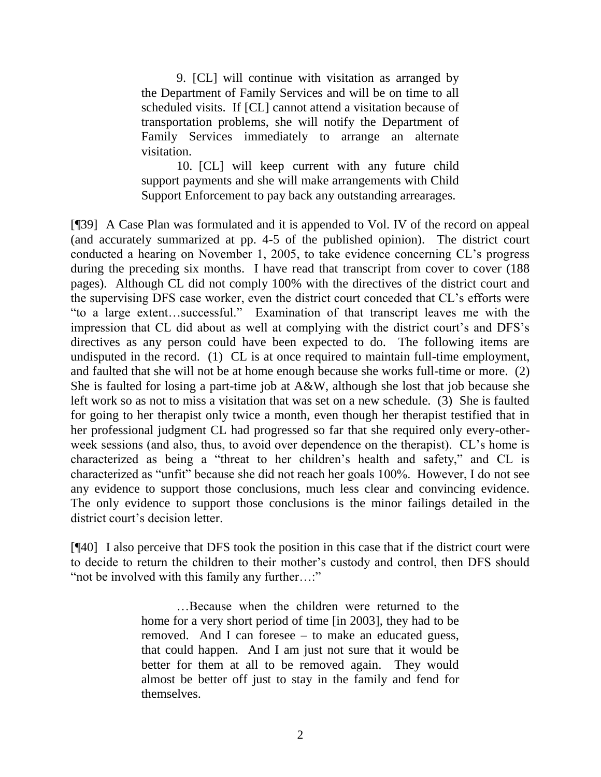9. [CL] will continue with visitation as arranged by the Department of Family Services and will be on time to all scheduled visits. If [CL] cannot attend a visitation because of transportation problems, she will notify the Department of Family Services immediately to arrange an alternate visitation.

10. [CL] will keep current with any future child support payments and she will make arrangements with Child Support Enforcement to pay back any outstanding arrearages.

[¶39] A Case Plan was formulated and it is appended to Vol. IV of the record on appeal (and accurately summarized at pp. 4-5 of the published opinion). The district court conducted a hearing on November 1, 2005, to take evidence concerning CL"s progress during the preceding six months. I have read that transcript from cover to cover (188 pages). Although CL did not comply 100% with the directives of the district court and the supervising DFS case worker, even the district court conceded that CL"s efforts were "to a large extent…successful." Examination of that transcript leaves me with the impression that CL did about as well at complying with the district court's and DFS's directives as any person could have been expected to do. The following items are undisputed in the record. (1) CL is at once required to maintain full-time employment, and faulted that she will not be at home enough because she works full-time or more. (2) She is faulted for losing a part-time job at A&W, although she lost that job because she left work so as not to miss a visitation that was set on a new schedule. (3) She is faulted for going to her therapist only twice a month, even though her therapist testified that in her professional judgment CL had progressed so far that she required only every-otherweek sessions (and also, thus, to avoid over dependence on the therapist). CL's home is characterized as being a "threat to her children"s health and safety," and CL is characterized as "unfit" because she did not reach her goals 100%. However, I do not see any evidence to support those conclusions, much less clear and convincing evidence. The only evidence to support those conclusions is the minor failings detailed in the district court's decision letter.

[¶40] I also perceive that DFS took the position in this case that if the district court were to decide to return the children to their mother"s custody and control, then DFS should "not be involved with this family any further…:"

> …Because when the children were returned to the home for a very short period of time [in 2003], they had to be removed. And I can foresee – to make an educated guess, that could happen. And I am just not sure that it would be better for them at all to be removed again. They would almost be better off just to stay in the family and fend for themselves.